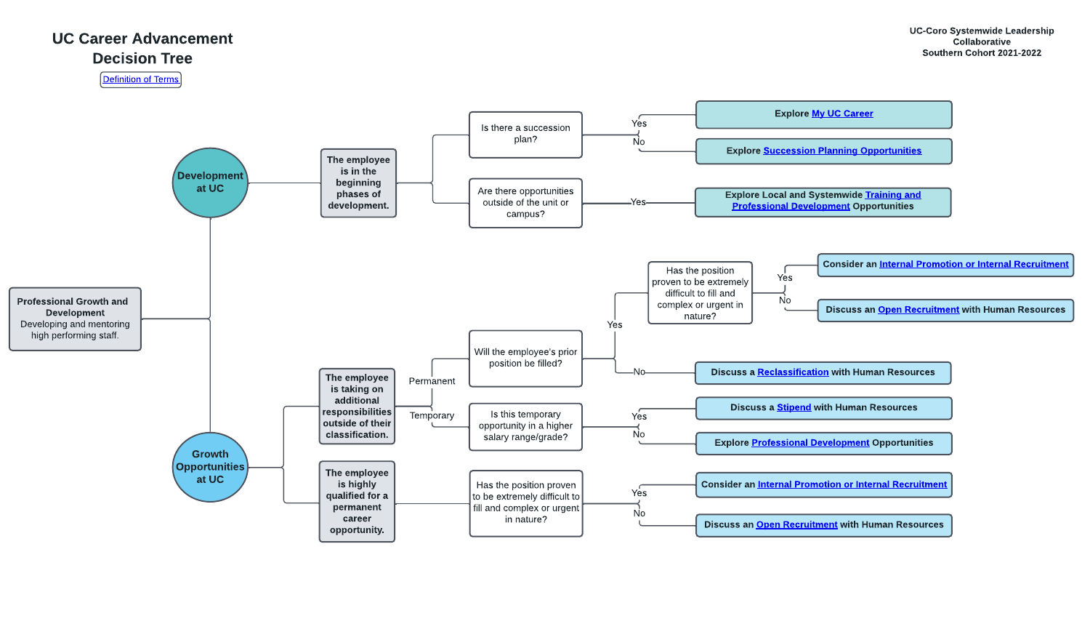

## UC Career Advancement Decision Tree